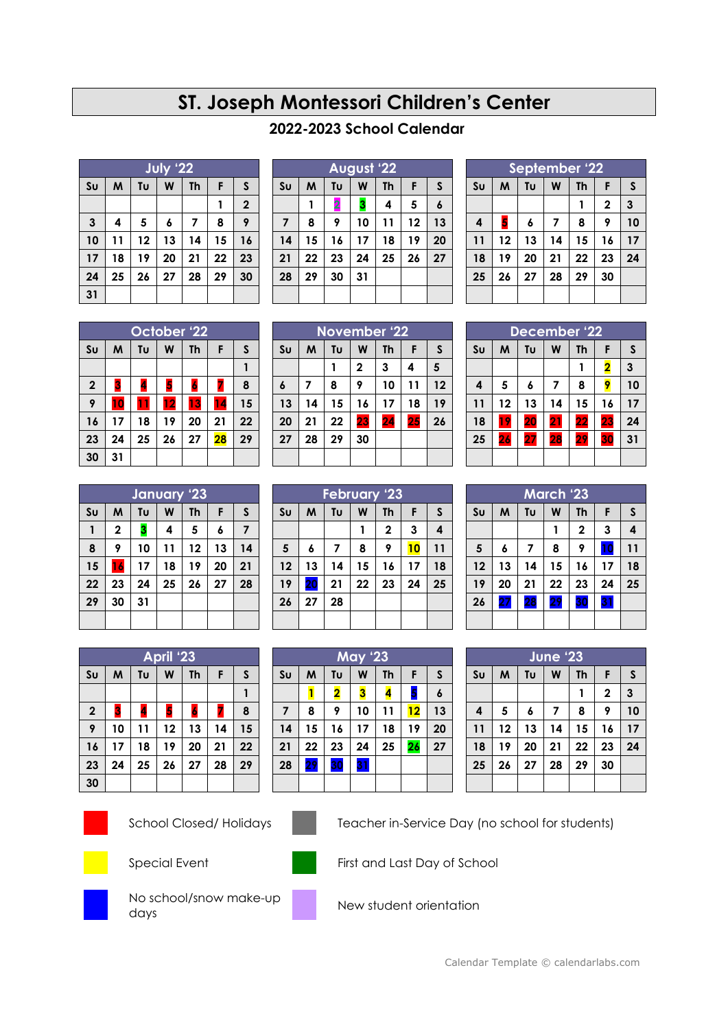## **ST. Joseph Montessori Children's Center**

## **2022-2023 School Calendar**

|                | July '22 |    |    |           |    |             |
|----------------|----------|----|----|-----------|----|-------------|
| S <sub>U</sub> | M        | Tυ | W  | <b>Th</b> | F  | S           |
|                |          |    |    |           |    | $\mathbf 2$ |
| $\mathbf{3}$   | 4        | 5  | 6  | 7         | 8  | 9           |
| 10             | 11       | 12 | 13 | 14        | 15 | 16          |
| 17             | 18       | 19 | 20 | 21        | 22 | 23          |
| 24             | 25       | 26 | 27 | 28        | 29 | 30          |
| 31             |          |    |    |           |    |             |

| August '22     |    |    |    |           |    |                  |
|----------------|----|----|----|-----------|----|------------------|
| S <sub>U</sub> | M  | Tυ | W  | <b>Th</b> | F  | $\mathsf{s}$     |
|                |    | 2  | 3  | 4         | 5  | $\boldsymbol{6}$ |
| $\overline{7}$ | 8  | 9  | 10 | 11        | 12 | 13               |
| 14             | 15 | 16 | 17 | 18        | 19 | 20               |
| 21             | 22 | 23 | 24 | 25        | 26 | 27               |
| 28             | 29 | 30 | 31 |           |    |                  |
|                |    |    |    |           |    |                  |

| September '22  |                                     |    |    |    |                |    |
|----------------|-------------------------------------|----|----|----|----------------|----|
| S <sub>U</sub> | Tυ<br>W<br>M<br>F<br><b>Th</b><br>S |    |    |    |                |    |
|                |                                     |    |    |    | $\overline{2}$ | 3  |
| 4              | 5                                   | 6  | 7  | 8  | 9              | 10 |
| 11             | 12                                  | 13 | 14 | 15 | 16             | 17 |
| 18             | 19                                  | 20 | 21 | 22 | 23             | 24 |
| 25             | 26                                  | 27 | 28 | 29 | 30             |    |
|                |                                     |    |    |    |                |    |

|                | October <sup>1</sup> 22 |    |    |           |    |    |
|----------------|-------------------------|----|----|-----------|----|----|
| S <sub>U</sub> | M                       | Tυ | W  | <b>Th</b> | F  | S  |
|                |                         |    |    |           |    |    |
| $\mathbf 2$    | 3                       | 4  | 5  | 6         | ú  | 8  |
| 9              | 10                      | 11 | 12 | 13        | 14 | 15 |
| 16             | 17                      | 18 | 19 | 20        | 21 | 22 |
| 23             | 24                      | 25 | 26 | 27        | 28 | 29 |
| 30             | 31                      |    |    |           |    |    |

| <b>November '22</b> |    |    |              |                 |    |    |
|---------------------|----|----|--------------|-----------------|----|----|
| S <sub>U</sub>      | M  | Tυ | W            | <b>Th</b>       | F  | S  |
|                     |    |    | $\mathbf{2}$ | 3               | 4  | 5  |
| $\boldsymbol{6}$    | 7  | 8  | 9            | 10              | 11 | 12 |
| 13                  | 14 | 15 | 16           | 17              | 18 | 19 |
| 20                  | 21 | 22 | 23           | $\overline{24}$ | 25 | 26 |
| 27                  | 28 | 29 | 30           |                 |    |    |
|                     |    |    |              |                 |    |    |

| December '22     |    |    |    |           |    |    |
|------------------|----|----|----|-----------|----|----|
| S <sub>U</sub>   | M  | Tυ | W  | <b>Th</b> | F  | S  |
|                  |    |    |    |           | 2  | 3  |
| $\boldsymbol{4}$ | 5  | 6  | 7  | 8         | 9  | 10 |
| 11               | 12 | 13 | 14 | 15        | 16 | 17 |
| 18               | 19 | 20 | 21 | 22        | 23 | 24 |
| 25               | 26 | 27 | 28 | 29        | 30 | 31 |
|                  |    |    |    |           |    |    |

| January '23    |    |    |    |    |    |    |
|----------------|----|----|----|----|----|----|
| S <sub>U</sub> | M  | Tu | W  | Th | F  | S  |
| 1              | 2  | 3  | 4  | 5  | 6  | 7  |
| 8              | 9  | 10 | 11 | 12 | 13 | 14 |
| 15             | 16 | 17 | 18 | 19 | 20 | 21 |
| 22             | 23 | 24 | 25 | 26 | 27 | 28 |
| 29             | 30 | 31 |    |    |    |    |
|                |    |    |    |    |    |    |

| <b>February '23</b> |    |    |    |             |    |              |
|---------------------|----|----|----|-------------|----|--------------|
| S <sub>U</sub>      | M  | Tu | W  | <b>Th</b>   | F  | $\mathsf{s}$ |
|                     |    |    |    | $\mathbf 2$ | 3  | 4            |
| 5                   | 6  | 7  | 8  | 9           | 10 | 11           |
| 12                  | 13 | 14 | 15 | 16          | 17 | 18           |
| 19                  | 20 | 21 | 22 | 23          | 24 | 25           |
| 26                  | 27 | 28 |    |             |    |              |
|                     |    |    |    |             |    |              |

**May '23**

| <b>March 23</b> |    |    |    |              |    |              |
|-----------------|----|----|----|--------------|----|--------------|
| S <sub>U</sub>  | M  | Tυ | W  | Th           | F  | $\mathsf{s}$ |
|                 |    |    | 1  | $\mathbf{2}$ | 3  | 4            |
| $5\phantom{1}$  | 6  | 7  | 8  | 9            | 10 | 11           |
| 12              | 13 | 14 | 15 | 16           | 17 | 18           |
| 19              | 20 | 21 | 22 | 23           | 24 | 25           |
| 26              | 27 | 28 | 29 | 30           | 31 |              |
|                 |    |    |    |              |    |              |

| April '23              |    |    |    |           |    |    |
|------------------------|----|----|----|-----------|----|----|
| $\mathsf{S}\mathsf{u}$ | M  | Tu | W  | <b>Th</b> | F  | S  |
|                        |    |    |    |           |    |    |
| $\mathbf{2}$           | 3  |    | 5  | 6         | 7  | 8  |
| 9                      | 10 | 11 | 12 | 13        | 14 | 15 |
| 16                     | 17 | 18 | 19 | 20        | 21 | 22 |
| 23                     | 24 | 25 | 26 | 27        | 28 | 29 |
| 30                     |    |    |    |           |    |    |



| <b>June '23</b>         |    |    |    |           |             |    |
|-------------------------|----|----|----|-----------|-------------|----|
| S <sub>U</sub>          | M  | Tυ | W  | <b>Th</b> | F           | S  |
|                         |    |    |    |           | $\mathbf 2$ | 3  |
| $\overline{\mathbf{4}}$ | 5  | 6  | 7  | 8         | 9           | 10 |
| 11                      | 12 | 13 | 14 | 15        | 16          | 17 |
| 18                      | 19 | 20 | 21 | 22        | 23          | 24 |
| 25                      | 26 | 27 | 28 | 29        | 30          |    |
|                         |    |    |    |           |             |    |





School Closed/ Holidays Teacher in-Service Day (no school for students)





Special Event First and Last Day of School



No school/snow make-up New student orientation<br>days